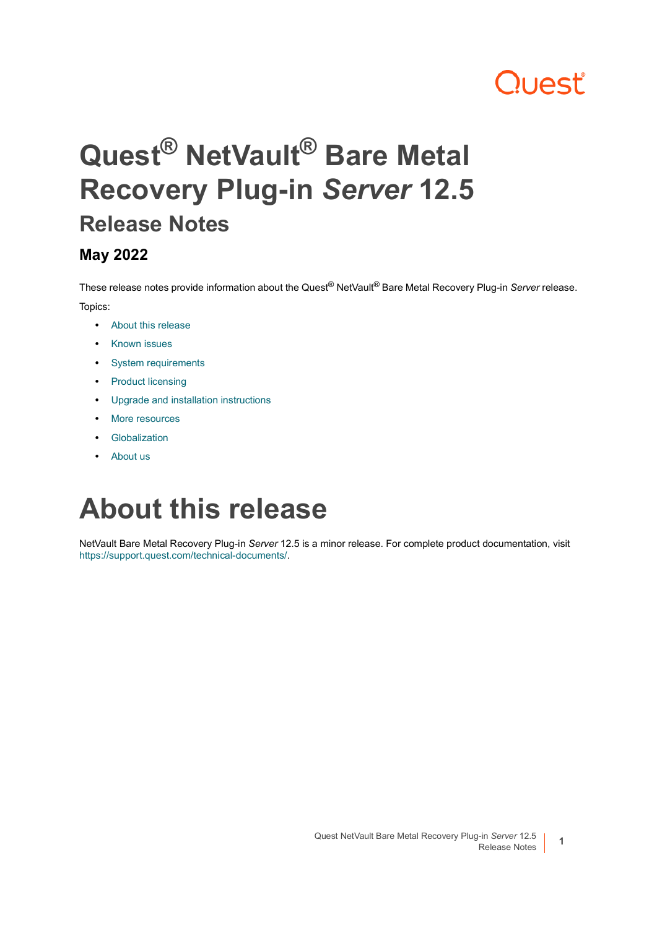# **Quest**

# **Quest® NetVault® Bare Metal Recovery Plug-in** *Server* **12.5 Release Notes**

#### **May 2022**

These release notes provide information about the Quest® NetVault® Bare Metal Recovery Plug-in *Server* release. Topics:

- **•** [About this release](#page-0-0)
- **•** [Known issues](#page-1-0)
- **•** [System requirements](#page-1-1)
- **•** [Product licensing](#page-1-2)
- **•** [Upgrade and installation instructions](#page-2-0)
- **•** [More resources](#page-3-0)
- **•** [Globalization](#page-3-1)
- **•** [About us](#page-3-2)

### <span id="page-0-0"></span>**About this release**

NetVault Bare Metal Recovery Plug-in *Server* 12.5 is a minor release. For complete product documentation, visit <https://support.quest.com/technical-documents/>.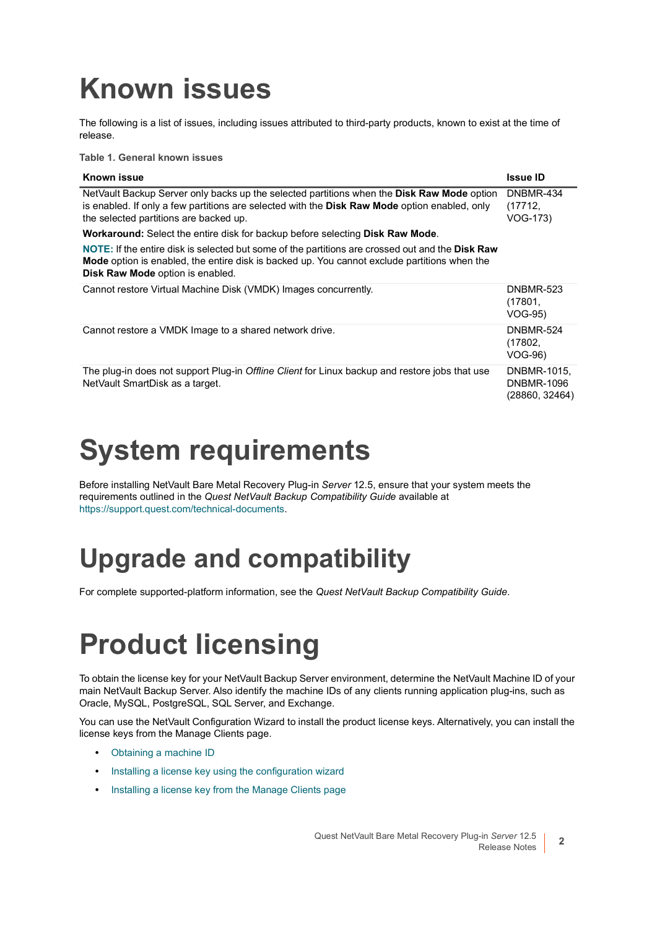# <span id="page-1-0"></span>**Known issues**

The following is a list of issues, including issues attributed to third-party products, known to exist at the time of release.

**Table 1. General known issues**

| <b>Known issue</b>                                                                                                                                                                                                                    | <b>Issue ID</b>                                    |
|---------------------------------------------------------------------------------------------------------------------------------------------------------------------------------------------------------------------------------------|----------------------------------------------------|
| NetVault Backup Server only backs up the selected partitions when the Disk Raw Mode option<br>is enabled. If only a few partitions are selected with the Disk Raw Mode option enabled, only<br>the selected partitions are backed up. | DNBMR-434<br>(17712,<br>VOG-173)                   |
| <b>Workaround:</b> Select the entire disk for backup before selecting <b>Disk Raw Mode</b> .                                                                                                                                          |                                                    |
| NOTE: If the entire disk is selected but some of the partitions are crossed out and the Disk Raw<br>Mode option is enabled, the entire disk is backed up. You cannot exclude partitions when the<br>Disk Raw Mode option is enabled.  |                                                    |
| Cannot restore Virtual Machine Disk (VMDK) Images concurrently.                                                                                                                                                                       | <b>DNBMR-523</b><br>(17801,<br><b>VOG-95)</b>      |
| Cannot restore a VMDK Image to a shared network drive.                                                                                                                                                                                | DNBMR-524<br>(17802,<br>VOG-96)                    |
| The plug-in does not support Plug-in Offline Client for Linux backup and restore jobs that use<br>NetVault SmartDisk as a target.                                                                                                     | DNBMR-1015,<br><b>DNBMR-1096</b><br>(28860, 32464) |

## <span id="page-1-1"></span>**System requirements**

Before installing NetVault Bare Metal Recovery Plug-in *Server* 12.5, ensure that your system meets the requirements outlined in the *Quest NetVault Backup Compatibility Guide* available at [https://support.quest.com/technical-documents.](https://support.quest.com/technical-documents)

### **Upgrade and compatibility**

For complete supported-platform information, see the *Quest NetVault Backup Compatibility Guide*.

# <span id="page-1-2"></span>**Product licensing**

To obtain the license key for your NetVault Backup Server environment, determine the NetVault Machine ID of your main NetVault Backup Server. Also identify the machine IDs of any clients running application plug-ins, such as Oracle, MySQL, PostgreSQL, SQL Server, and Exchange.

You can use the NetVault Configuration Wizard to install the product license keys. Alternatively, you can install the license keys from the Manage Clients page.

- **•** [Obtaining a machine ID](#page-2-1)
- **•** [Installing a license key using the configuration wizard](#page-2-2)
- **•** [Installing a license key from the Manage Clients page](#page-2-3)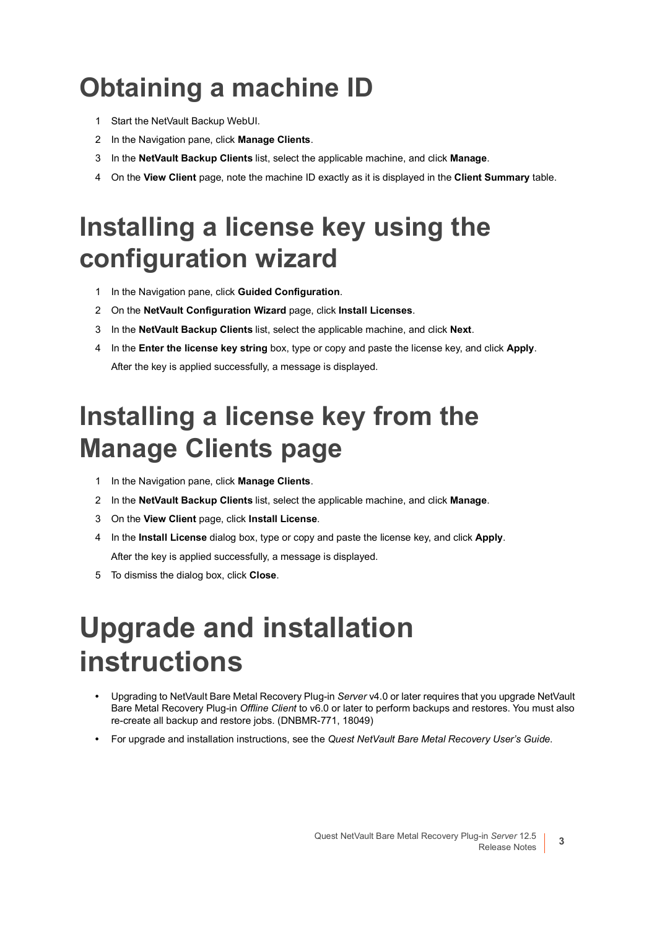# <span id="page-2-1"></span>**Obtaining a machine ID**

- 1 Start the NetVault Backup WebUI.
- 2 In the Navigation pane, click **Manage Clients**.
- 3 In the **NetVault Backup Clients** list, select the applicable machine, and click **Manage**.
- 4 On the **View Client** page, note the machine ID exactly as it is displayed in the **Client Summary** table.

#### <span id="page-2-2"></span>**Installing a license key using the configuration wizard**

- 1 In the Navigation pane, click **Guided Configuration**.
- 2 On the **NetVault Configuration Wizard** page, click **Install Licenses**.
- 3 In the **NetVault Backup Clients** list, select the applicable machine, and click **Next**.
- 4 In the **Enter the license key string** box, type or copy and paste the license key, and click **Apply**. After the key is applied successfully, a message is displayed.

#### <span id="page-2-3"></span>**Installing a license key from the Manage Clients page**

- 1 In the Navigation pane, click **Manage Clients**.
- 2 In the **NetVault Backup Clients** list, select the applicable machine, and click **Manage**.
- 3 On the **View Client** page, click **Install License**.
- 4 In the **Install License** dialog box, type or copy and paste the license key, and click **Apply**. After the key is applied successfully, a message is displayed.
- 5 To dismiss the dialog box, click **Close**.

## <span id="page-2-0"></span>**Upgrade and installation instructions**

- **•** Upgrading to NetVault Bare Metal Recovery Plug-in *Server* v4.0 or later requires that you upgrade NetVault Bare Metal Recovery Plug-in *Offline Client* to v6.0 or later to perform backups and restores. You must also re-create all backup and restore jobs. (DNBMR-771, 18049)
- **•** For upgrade and installation instructions, see the *Quest NetVault Bare Metal Recovery User's Guide*.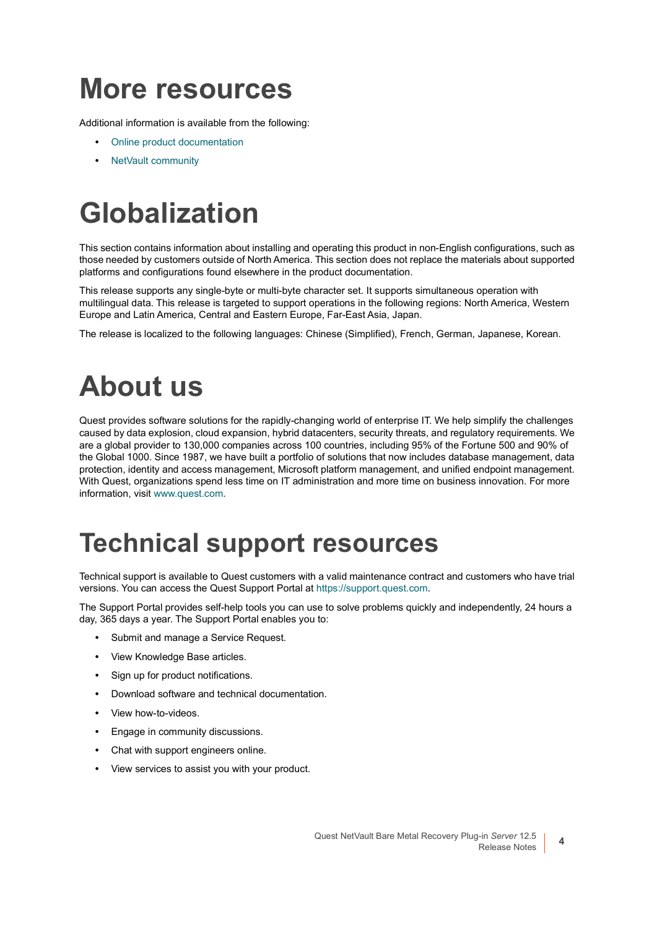### <span id="page-3-0"></span>**More resources**

Additional information is available from the following:

- **•** [Online product documentation](https://support.quest.com/technical-documents/)
- **•** [NetVault community](https://www.quest.com/community/products/netvault/)

# <span id="page-3-1"></span>**Globalization**

This section contains information about installing and operating this product in non-English configurations, such as those needed by customers outside of North America. This section does not replace the materials about supported platforms and configurations found elsewhere in the product documentation.

This release supports any single-byte or multi-byte character set. It supports simultaneous operation with multilingual data. This release is targeted to support operations in the following regions: North America, Western Europe and Latin America, Central and Eastern Europe, Far-East Asia, Japan.

The release is localized to the following languages: Chinese (Simplified), French, German, Japanese, Korean.

# <span id="page-3-2"></span>**About us**

Quest provides software solutions for the rapidly-changing world of enterprise IT. We help simplify the challenges caused by data explosion, cloud expansion, hybrid datacenters, security threats, and regulatory requirements. We are a global provider to 130,000 companies across 100 countries, including 95% of the Fortune 500 and 90% of the Global 1000. Since 1987, we have built a portfolio of solutions that now includes database management, data protection, identity and access management, Microsoft platform management, and unified endpoint management. With Quest, organizations spend less time on IT administration and more time on business innovation. For more information, visit [www.quest.com](https://www.quest.com/company/contact-us.aspx).

#### **Technical support resources**

Technical support is available to Quest customers with a valid maintenance contract and customers who have trial versions. You can access the Quest Support Portal at [https://support.quest.com.](https://support.quest.com)

The Support Portal provides self-help tools you can use to solve problems quickly and independently, 24 hours a day, 365 days a year. The Support Portal enables you to:

- **•** Submit and manage a Service Request.
- **•** View Knowledge Base articles.
- **•** Sign up for product notifications.
- **•** Download software and technical documentation.
- **•** View how-to-videos.
- **•** Engage in community discussions.
- **•** Chat with support engineers online.
- **•** View services to assist you with your product.